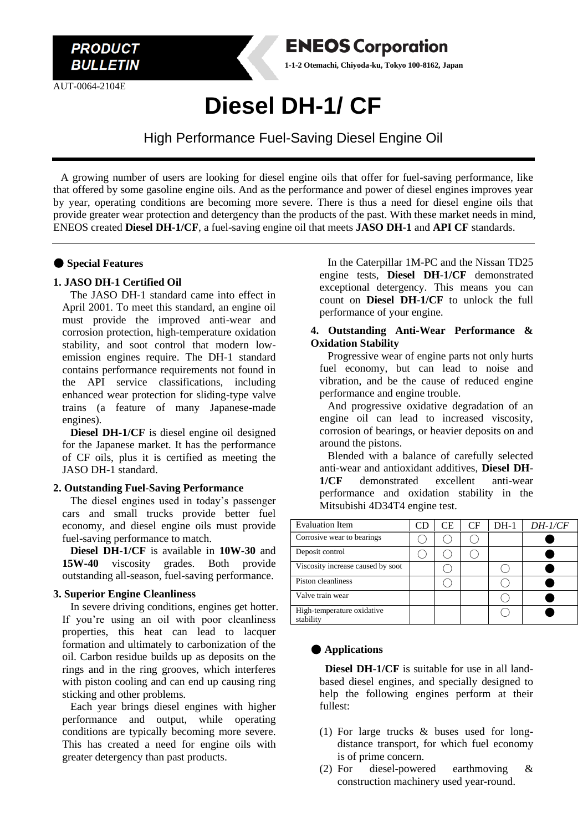AUT-0064-2104E

**PRODUCT BULLETIN** 



**Diesel DH-1/ CF**

# High Performance Fuel-Saving Diesel Engine Oil

 A growing number of users are looking for diesel engine oils that offer for fuel-saving performance, like that offered by some gasoline engine oils. And as the performance and power of diesel engines improves year by year, operating conditions are becoming more severe. There is thus a need for diesel engine oils that provide greater wear protection and detergency than the products of the past. With these market needs in mind, ENEOS created **Diesel DH-1/CF**, a fuel-saving engine oil that meets **JASO DH-1** and **API CF** standards.

### ● **Special Features**

### **1. JASO DH-1 Certified Oil**

 The JASO DH-1 standard came into effect in April 2001. To meet this standard, an engine oil must provide the improved anti-wear and corrosion protection, high-temperature oxidation stability, and soot control that modern lowemission engines require. The DH-1 standard contains performance requirements not found in the API service classifications, including enhanced wear protection for sliding-type valve trains (a feature of many Japanese-made engines).

 **Diesel DH-1/CF** is diesel engine oil designed for the Japanese market. It has the performance of CF oils, plus it is certified as meeting the JASO DH-1 standard.

#### **2. Outstanding Fuel-Saving Performance**

 The diesel engines used in today's passenger cars and small trucks provide better fuel economy, and diesel engine oils must provide fuel-saving performance to match.

 **Diesel DH-1/CF** is available in **10W-30** and **15W-40** viscosity grades. Both provide outstanding all-season, fuel-saving performance.

#### **3. Superior Engine Cleanliness**

 In severe driving conditions, engines get hotter. If you're using an oil with poor cleanliness properties, this heat can lead to lacquer formation and ultimately to carbonization of the oil. Carbon residue builds up as deposits on the rings and in the ring grooves, which interferes with piston cooling and can end up causing ring sticking and other problems.

 Each year brings diesel engines with higher performance and output, while operating conditions are typically becoming more severe. This has created a need for engine oils with greater detergency than past products.

 In the Caterpillar 1M-PC and the Nissan TD25 engine tests, **Diesel DH-1/CF** demonstrated exceptional detergency. This means you can count on **Diesel DH-1/CF** to unlock the full performance of your engine.

#### **4. Outstanding Anti-Wear Performance & Oxidation Stability**

 Progressive wear of engine parts not only hurts fuel economy, but can lead to noise and vibration, and be the cause of reduced engine performance and engine trouble.

 And progressive oxidative degradation of an engine oil can lead to increased viscosity, corrosion of bearings, or heavier deposits on and around the pistons.

 Blended with a balance of carefully selected anti-wear and antioxidant additives, **Diesel DH-1/CF** demonstrated excellent anti-wear performance and oxidation stability in the Mitsubishi 4D34T4 engine test.

| <b>Evaluation Item</b>                  | <b>CE</b> | CF | $DH-1$ | DH-1/CF |
|-----------------------------------------|-----------|----|--------|---------|
| Corrosive wear to bearings              |           |    |        |         |
| Deposit control                         |           |    |        |         |
| Viscosity increase caused by soot       |           |    |        |         |
| Piston cleanliness                      |           |    |        |         |
| Valve train wear                        |           |    |        |         |
| High-temperature oxidative<br>stability |           |    |        |         |

# ● **Applications**

 **Diesel DH-1/CF** is suitable for use in all landbased diesel engines, and specially designed to help the following engines perform at their fullest:

- (1) For large trucks & buses used for longdistance transport, for which fuel economy is of prime concern.
- (2) For diesel-powered earthmoving & construction machinery used year-round.